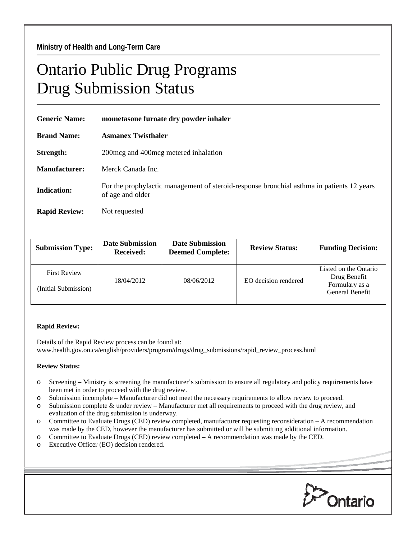## Ontario Public Drug Programs Drug Submission Status

| <b>Generic Name:</b> | mometasone furoate dry powder inhaler                                                                         |  |  |
|----------------------|---------------------------------------------------------------------------------------------------------------|--|--|
| <b>Brand Name:</b>   | <b>Asmanex Twisthaler</b>                                                                                     |  |  |
| Strength:            | 200 mcg and 400 mcg metered inhalation                                                                        |  |  |
| Manufacturer:        | Merck Canada Inc.                                                                                             |  |  |
| <b>Indication:</b>   | For the prophylactic management of steroid-response bronchial asthma in patients 12 years<br>of age and older |  |  |
| <b>Rapid Review:</b> | Not requested                                                                                                 |  |  |

| <b>Submission Type:</b>                     | <b>Date Submission</b><br><b>Received:</b> | <b>Date Submission</b><br><b>Deemed Complete:</b> | <b>Review Status:</b> | <b>Funding Decision:</b>                                                   |
|---------------------------------------------|--------------------------------------------|---------------------------------------------------|-----------------------|----------------------------------------------------------------------------|
| <b>First Review</b><br>(Initial Submission) | 18/04/2012                                 | 08/06/2012                                        | EO decision rendered  | Listed on the Ontario<br>Drug Benefit<br>Formulary as a<br>General Benefit |

## **Rapid Review:**

Details of the Rapid Review process can be found at: www.health.gov.on.ca/english/providers/program/drugs/drug\_submissions/rapid\_review\_process.html

## **Review Status:**

- o Screening Ministry is screening the manufacturer's submission to ensure all regulatory and policy requirements have been met in order to proceed with the drug review.
- o Submission incomplete Manufacturer did not meet the necessary requirements to allow review to proceed.
- o Submission complete & under review Manufacturer met all requirements to proceed with the drug review, and evaluation of the drug submission is underway.
- o Committee to Evaluate Drugs (CED) review completed, manufacturer requesting reconsideration A recommendation was made by the CED, however the manufacturer has submitted or will be submitting additional information.
- o Committee to Evaluate Drugs (CED) review completed A recommendation was made by the CED.
- o Executive Officer (EO) decision rendered.